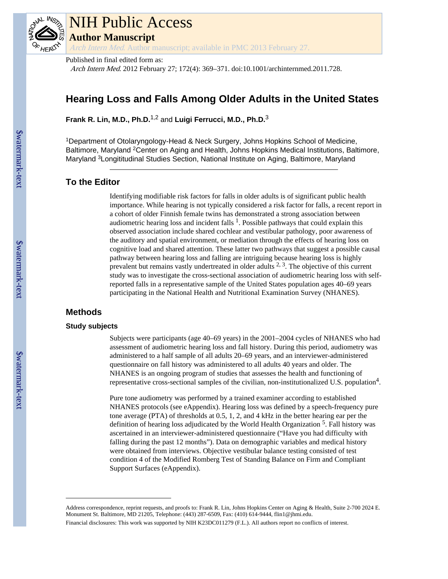

# NIH Public Access **Author Manuscript**

Arch Intern Med. Author manuscript; available in PMC 2013 February 27.

Published in final edited form as:

Arch Intern Med. 2012 February 27; 172(4): 369–371. doi:10.1001/archinternmed.2011.728.

# **Hearing Loss and Falls Among Older Adults in the United States**

**Frank R. Lin, M.D., Ph.D.**1,2 and **Luigi Ferrucci, M.D., Ph.D.**<sup>3</sup>

<sup>1</sup>Department of Otolaryngology-Head & Neck Surgery, Johns Hopkins School of Medicine, Baltimore, Maryland <sup>2</sup>Center on Aging and Health, Johns Hopkins Medical Institutions, Baltimore, Maryland <sup>3</sup>Longititudinal Studies Section, National Institute on Aging, Baltimore, Maryland

#### **To the Editor**

Identifying modifiable risk factors for falls in older adults is of significant public health importance. While hearing is not typically considered a risk factor for falls, a recent report in a cohort of older Finnish female twins has demonstrated a strong association between audiometric hearing loss and incident falls  $<sup>1</sup>$ . Possible pathways that could explain this</sup> observed association include shared cochlear and vestibular pathology, poor awareness of the auditory and spatial environment, or mediation through the effects of hearing loss on cognitive load and shared attention. These latter two pathways that suggest a possible causal pathway between hearing loss and falling are intriguing because hearing loss is highly prevalent but remains vastly undertreated in older adults 2, 3. The objective of this current study was to investigate the cross-sectional association of audiometric hearing loss with selfreported falls in a representative sample of the United States population ages 40–69 years participating in the National Health and Nutritional Examination Survey (NHANES).

## **Methods**

#### **Study subjects**

Subjects were participants (age 40–69 years) in the 2001–2004 cycles of NHANES who had assessment of audiometric hearing loss and fall history. During this period, audiometry was administered to a half sample of all adults 20–69 years, and an interviewer-administered questionnaire on fall history was administered to all adults 40 years and older. The NHANES is an ongoing program of studies that assesses the health and functioning of representative cross-sectional samples of the civilian, non-institutionalized U.S. population<sup>4</sup>.

Pure tone audiometry was performed by a trained examiner according to established NHANES protocols (see eAppendix). Hearing loss was defined by a speech-frequency pure tone average (PTA) of thresholds at 0.5, 1, 2, and 4 kHz in the better hearing ear per the definition of hearing loss adjudicated by the World Health Organization <sup>5</sup>. Fall history was ascertained in an interviewer-administered questionnaire ("Have you had difficulty with falling during the past 12 months"). Data on demographic variables and medical history were obtained from interviews. Objective vestibular balance testing consisted of test condition 4 of the Modified Romberg Test of Standing Balance on Firm and Compliant Support Surfaces (eAppendix).

Address correspondence, reprint requests, and proofs to: Frank R. Lin, Johns Hopkins Center on Aging & Health, Suite 2-700 2024 E. Monument St. Baltimore, MD 21205, Telephone: (443) 287-6509, Fax: (410) 614-9444, flin1@jhmi.edu.

Financial disclosures: This work was supported by NIH K23DC011279 (F.L.). All authors report no conflicts of interest.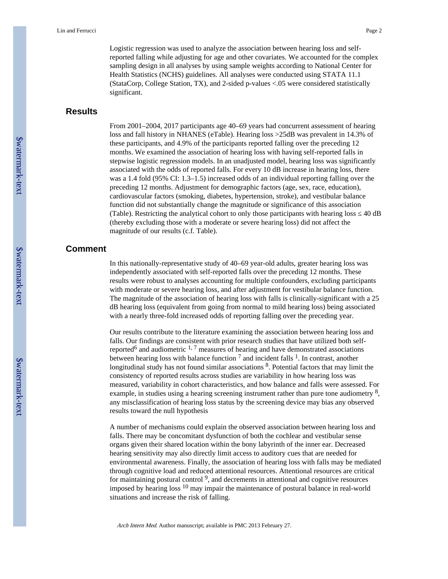Logistic regression was used to analyze the association between hearing loss and selfreported falling while adjusting for age and other covariates. We accounted for the complex sampling design in all analyses by using sample weights according to National Center for Health Statistics (NCHS) guidelines. All analyses were conducted using STATA 11.1 (StataCorp, College Station, TX), and 2-sided p-values <.05 were considered statistically significant.

### **Results**

From 2001–2004, 2017 participants age 40–69 years had concurrent assessment of hearing loss and fall history in NHANES (eTable). Hearing loss >25dB was prevalent in 14.3% of these participants, and 4.9% of the participants reported falling over the preceding 12 months. We examined the association of hearing loss with having self-reported falls in stepwise logistic regression models. In an unadjusted model, hearing loss was significantly associated with the odds of reported falls. For every 10 dB increase in hearing loss, there was a 1.4 fold (95% CI: 1.3–1.5) increased odds of an individual reporting falling over the preceding 12 months. Adjustment for demographic factors (age, sex, race, education), cardiovascular factors (smoking, diabetes, hypertension, stroke), and vestibular balance function did not substantially change the magnitude or significance of this association (Table). Restricting the analytical cohort to only those participants with hearing loss ≤ 40 dB (thereby excluding those with a moderate or severe hearing loss) did not affect the magnitude of our results (c.f. Table).

#### **Comment**

In this nationally-representative study of 40–69 year-old adults, greater hearing loss was independently associated with self-reported falls over the preceding 12 months. These results were robust to analyses accounting for multiple confounders, excluding participants with moderate or severe hearing loss, and after adjustment for vestibular balance function. The magnitude of the association of hearing loss with falls is clinically-significant with a 25 dB hearing loss (equivalent from going from normal to mild hearing loss) being associated with a nearly three-fold increased odds of reporting falling over the preceding year.

Our results contribute to the literature examining the association between hearing loss and falls. Our findings are consistent with prior research studies that have utilized both selfreported<sup>6</sup> and audiometric  $1.7$  measures of hearing and have demonstrated associations between hearing loss with balance function  $<sup>7</sup>$  and incident falls  $<sup>1</sup>$ . In contrast, another</sup></sup> longitudinal study has not found similar associations  $8$ . Potential factors that may limit the consistency of reported results across studies are variability in how hearing loss was measured, variability in cohort characteristics, and how balance and falls were assessed. For example, in studies using a hearing screening instrument rather than pure tone audiometry  $\frac{8}{3}$ , any misclassification of hearing loss status by the screening device may bias any observed results toward the null hypothesis

A number of mechanisms could explain the observed association between hearing loss and falls. There may be concomitant dysfunction of both the cochlear and vestibular sense organs given their shared location within the bony labyrinth of the inner ear. Decreased hearing sensitivity may also directly limit access to auditory cues that are needed for environmental awareness. Finally, the association of hearing loss with falls may be mediated through cognitive load and reduced attentional resources. Attentional resources are critical for maintaining postural control<sup>9</sup>, and decrements in attentional and cognitive resources imposed by hearing loss  $10$  may impair the maintenance of postural balance in real-world situations and increase the risk of falling.

Arch Intern Med. Author manuscript; available in PMC 2013 February 27.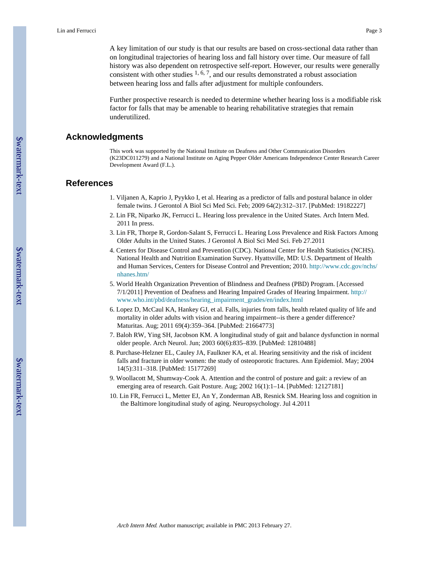A key limitation of our study is that our results are based on cross-sectional data rather than on longitudinal trajectories of hearing loss and fall history over time. Our measure of fall history was also dependent on retrospective self-report. However, our results were generally consistent with other studies  $^{1, 6, 7}$ , and our results demonstrated a robust association between hearing loss and falls after adjustment for multiple confounders.

Further prospective research is needed to determine whether hearing loss is a modifiable risk factor for falls that may be amenable to hearing rehabilitative strategies that remain underutilized.

#### **Acknowledgments**

This work was supported by the National Institute on Deafness and Other Communication Disorders (K23DC011279) and a National Institute on Aging Pepper Older Americans Independence Center Research Career Development Award (F.L.).

#### **References**

- 1. Viljanen A, Kaprio J, Pyykko I, et al. Hearing as a predictor of falls and postural balance in older female twins. J Gerontol A Biol Sci Med Sci. Feb; 2009 64(2):312–317. [PubMed: 19182227]
- 2. Lin FR, Niparko JK, Ferrucci L. Hearing loss prevalence in the United States. Arch Intern Med. 2011 In press.
- 3. Lin FR, Thorpe R, Gordon-Salant S, Ferrucci L. Hearing Loss Prevalence and Risk Factors Among Older Adults in the United States. J Gerontol A Biol Sci Med Sci. Feb 27.2011
- 4. Centers for Disease Control and Prevention (CDC). National Center for Health Statistics (NCHS). National Health and Nutrition Examination Survey. Hyattsville, MD: U.S. Department of Health and Human Services, Centers for Disease Control and Prevention; 2010. [http://www.cdc.gov/nchs/](http://www.cdc.gov/nchs/nhanes.htm/) [nhanes.htm/](http://www.cdc.gov/nchs/nhanes.htm/)
- 5. World Health Organization Prevention of Blindness and Deafness (PBD) Program. [Accessed 7/1/2011] Prevention of Deafness and Hearing Impaired Grades of Hearing Impairment. [http://](http://www.who.int/pbd/deafness/hearing_impairment_grades/en/index.html) [www.who.int/pbd/deafness/hearing\\_impairment\\_grades/en/index.html](http://www.who.int/pbd/deafness/hearing_impairment_grades/en/index.html)
- 6. Lopez D, McCaul KA, Hankey GJ, et al. Falls, injuries from falls, health related quality of life and mortality in older adults with vision and hearing impairment--is there a gender difference? Maturitas. Aug; 2011 69(4):359–364. [PubMed: 21664773]
- 7. Baloh RW, Ying SH, Jacobson KM. A longitudinal study of gait and balance dysfunction in normal older people. Arch Neurol. Jun; 2003 60(6):835–839. [PubMed: 12810488]
- 8. Purchase-Helzner EL, Cauley JA, Faulkner KA, et al. Hearing sensitivity and the risk of incident falls and fracture in older women: the study of osteoporotic fractures. Ann Epidemiol. May; 2004 14(5):311–318. [PubMed: 15177269]
- 9. Woollacott M, Shumway-Cook A. Attention and the control of posture and gait: a review of an emerging area of research. Gait Posture. Aug; 2002 16(1):1–14. [PubMed: 12127181]
- 10. Lin FR, Ferrucci L, Metter EJ, An Y, Zonderman AB, Resnick SM. Hearing loss and cognition in the Baltimore longitudinal study of aging. Neuropsychology. Jul 4.2011